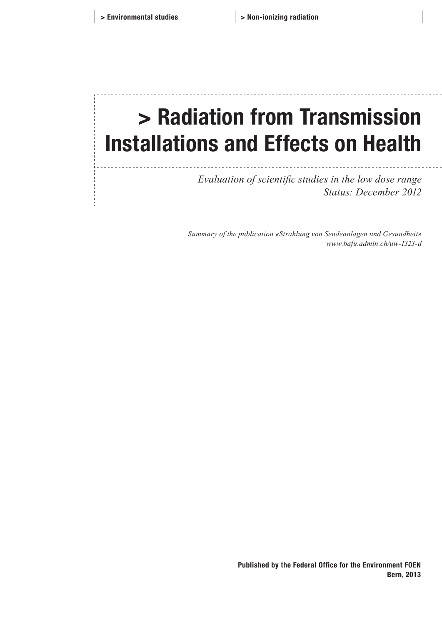## > Radiation from Transmission Installations and Effects on Health

*Evaluation of scientific studies in the low dose range Status: December 2012*

*Summary of the publication «Strahlung von Sendeanlagen und Gesundheit» www.bafu.admin.ch/uw-1323-d*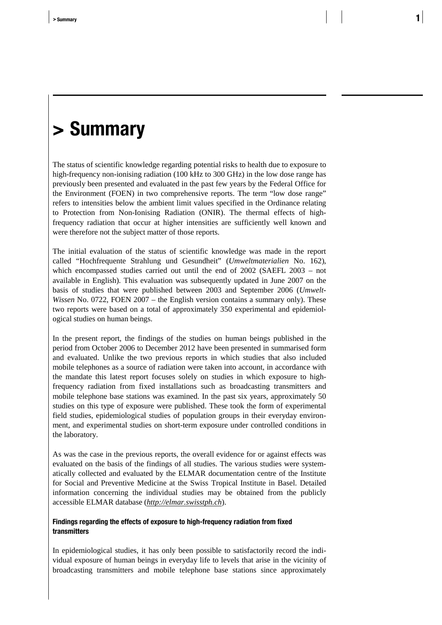## **> Summary**

The status of scientific knowledge regarding potential risks to health due to exposure to high-frequency non-ionising radiation (100 kHz to 300 GHz) in the low dose range has previously been presented and evaluated in the past few years by the Federal Office for the Environment (FOEN) in two comprehensive reports. The term "low dose range" refers to intensities below the ambient limit values specified in the Ordinance relating to Protection from Non-Ionising Radiation (ONIR). The thermal effects of highfrequency radiation that occur at higher intensities are sufficiently well known and were therefore not the subject matter of those reports.

The initial evaluation of the status of scientific knowledge was made in the report called "Hochfrequente Strahlung und Gesundheit" (*Umweltmaterialien* No. 162), which encompassed studies carried out until the end of 2002 (SAEFL 2003 – not available in English). This evaluation was subsequently updated in June 2007 on the basis of studies that were published between 2003 and September 2006 (*Umwelt-Wissen* No. 0722, FOEN 2007 – the English version contains a summary only). These two reports were based on a total of approximately 350 experimental and epidemiological studies on human beings.

In the present report, the findings of the studies on human beings published in the period from October 2006 to December 2012 have been presented in summarised form and evaluated. Unlike the two previous reports in which studies that also included mobile telephones as a source of radiation were taken into account, in accordance with the mandate this latest report focuses solely on studies in which exposure to highfrequency radiation from fixed installations such as broadcasting transmitters and mobile telephone base stations was examined. In the past six years, approximately 50 studies on this type of exposure were published. These took the form of experimental field studies, epidemiological studies of population groups in their everyday environment, and experimental studies on short-term exposure under controlled conditions in the laboratory.

As was the case in the previous reports, the overall evidence for or against effects was evaluated on the basis of the findings of all studies. The various studies were systematically collected and evaluated by the ELMAR documentation centre of the Institute for Social and Preventive Medicine at the Swiss Tropical Institute in Basel. Detailed information concerning the individual studies may be obtained from the publicly accessible ELMAR database (*[http://elmar.swisstph.ch](http://elmar.swisstph.ch/)*).

## **Findings regarding the effects of exposure to high-frequency radiation from fixed transmitters**

In epidemiological studies, it has only been possible to satisfactorily record the individual exposure of human beings in everyday life to levels that arise in the vicinity of broadcasting transmitters and mobile telephone base stations since approximately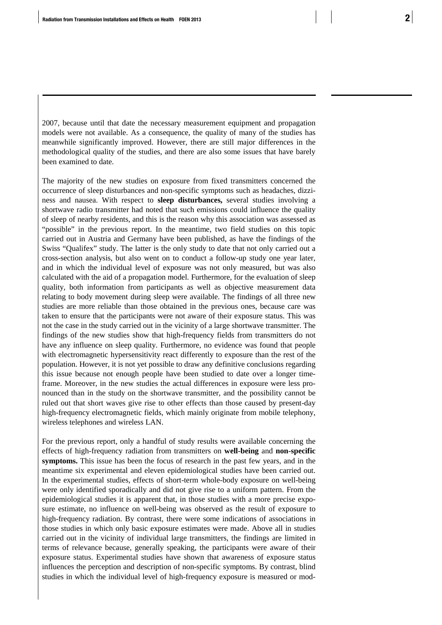2007, because until that date the necessary measurement equipment and propagation models were not available. As a consequence, the quality of many of the studies has meanwhile significantly improved. However, there are still major differences in the methodological quality of the studies, and there are also some issues that have barely been examined to date.

The majority of the new studies on exposure from fixed transmitters concerned the occurrence of sleep disturbances and non-specific symptoms such as headaches, dizziness and nausea. With respect to **sleep disturbances,** several studies involving a shortwave radio transmitter had noted that such emissions could influence the quality of sleep of nearby residents, and this is the reason why this association was assessed as "possible" in the previous report. In the meantime, two field studies on this topic carried out in Austria and Germany have been published, as have the findings of the Swiss "Qualifex" study. The latter is the only study to date that not only carried out a cross-section analysis, but also went on to conduct a follow-up study one year later, and in which the individual level of exposure was not only measured, but was also calculated with the aid of a propagation model. Furthermore, for the evaluation of sleep quality, both information from participants as well as objective measurement data relating to body movement during sleep were available. The findings of all three new studies are more reliable than those obtained in the previous ones, because care was taken to ensure that the participants were not aware of their exposure status. This was not the case in the study carried out in the vicinity of a large shortwave transmitter. The findings of the new studies show that high-frequency fields from transmitters do not have any influence on sleep quality. Furthermore, no evidence was found that people with electromagnetic hypersensitivity react differently to exposure than the rest of the population. However, it is not yet possible to draw any definitive conclusions regarding this issue because not enough people have been studied to date over a longer timeframe. Moreover, in the new studies the actual differences in exposure were less pronounced than in the study on the shortwave transmitter, and the possibility cannot be ruled out that short waves give rise to other effects than those caused by present-day high-frequency electromagnetic fields, which mainly originate from mobile telephony, wireless telephones and wireless LAN.

For the previous report, only a handful of study results were available concerning the effects of high-frequency radiation from transmitters on **well-being** and **non-specific symptoms.** This issue has been the focus of research in the past few years, and in the meantime six experimental and eleven epidemiological studies have been carried out. In the experimental studies, effects of short-term whole-body exposure on well-being were only identified sporadically and did not give rise to a uniform pattern. From the epidemiological studies it is apparent that, in those studies with a more precise exposure estimate, no influence on well-being was observed as the result of exposure to high-frequency radiation. By contrast, there were some indications of associations in those studies in which only basic exposure estimates were made. Above all in studies carried out in the vicinity of individual large transmitters, the findings are limited in terms of relevance because, generally speaking, the participants were aware of their exposure status. Experimental studies have shown that awareness of exposure status influences the perception and description of non-specific symptoms. By contrast, blind studies in which the individual level of high-frequency exposure is measured or mod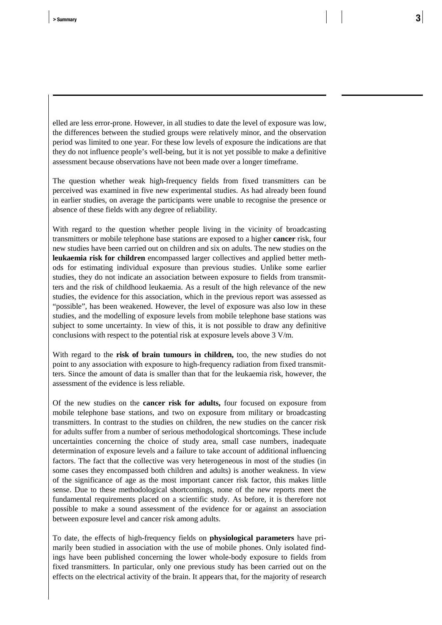elled are less error-prone. However, in all studies to date the level of exposure was low, the differences between the studied groups were relatively minor, and the observation period was limited to one year. For these low levels of exposure the indications are that they do not influence people's well-being, but it is not yet possible to make a definitive assessment because observations have not been made over a longer timeframe.

The question whether weak high-frequency fields from fixed transmitters can be perceived was examined in five new experimental studies. As had already been found in earlier studies, on average the participants were unable to recognise the presence or absence of these fields with any degree of reliability.

With regard to the question whether people living in the vicinity of broadcasting transmitters or mobile telephone base stations are exposed to a higher **cancer** risk, four new studies have been carried out on children and six on adults. The new studies on the **leukaemia risk for children** encompassed larger collectives and applied better methods for estimating individual exposure than previous studies. Unlike some earlier studies, they do not indicate an association between exposure to fields from transmitters and the risk of childhood leukaemia. As a result of the high relevance of the new studies, the evidence for this association, which in the previous report was assessed as "possible", has been weakened. However, the level of exposure was also low in these studies, and the modelling of exposure levels from mobile telephone base stations was subject to some uncertainty. In view of this, it is not possible to draw any definitive conclusions with respect to the potential risk at exposure levels above 3 V/m.

With regard to the **risk of brain tumours in children,** too, the new studies do not point to any association with exposure to high-frequency radiation from fixed transmitters. Since the amount of data is smaller than that for the leukaemia risk, however, the assessment of the evidence is less reliable.

Of the new studies on the **cancer risk for adults,** four focused on exposure from mobile telephone base stations, and two on exposure from military or broadcasting transmitters. In contrast to the studies on children, the new studies on the cancer risk for adults suffer from a number of serious methodological shortcomings. These include uncertainties concerning the choice of study area, small case numbers, inadequate determination of exposure levels and a failure to take account of additional influencing factors. The fact that the collective was very heterogeneous in most of the studies (in some cases they encompassed both children and adults) is another weakness. In view of the significance of age as the most important cancer risk factor, this makes little sense. Due to these methodological shortcomings, none of the new reports meet the fundamental requirements placed on a scientific study. As before, it is therefore not possible to make a sound assessment of the evidence for or against an association between exposure level and cancer risk among adults.

To date, the effects of high-frequency fields on **physiological parameters** have primarily been studied in association with the use of mobile phones. Only isolated findings have been published concerning the lower whole-body exposure to fields from fixed transmitters. In particular, only one previous study has been carried out on the effects on the electrical activity of the brain. It appears that, for the majority of research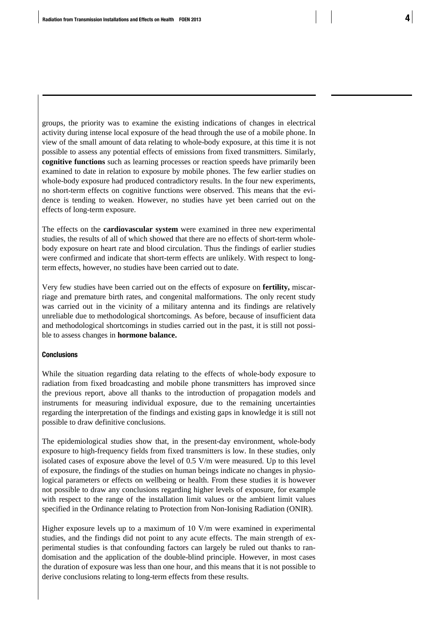groups, the priority was to examine the existing indications of changes in electrical activity during intense local exposure of the head through the use of a mobile phone. In view of the small amount of data relating to whole-body exposure, at this time it is not possible to assess any potential effects of emissions from fixed transmitters. Similarly, **cognitive functions** such as learning processes or reaction speeds have primarily been examined to date in relation to exposure by mobile phones. The few earlier studies on whole-body exposure had produced contradictory results. In the four new experiments, no short-term effects on cognitive functions were observed. This means that the evidence is tending to weaken. However, no studies have yet been carried out on the effects of long-term exposure.

The effects on the **cardiovascular system** were examined in three new experimental studies, the results of all of which showed that there are no effects of short-term wholebody exposure on heart rate and blood circulation. Thus the findings of earlier studies were confirmed and indicate that short-term effects are unlikely. With respect to longterm effects, however, no studies have been carried out to date.

Very few studies have been carried out on the effects of exposure on **fertility,** miscarriage and premature birth rates, and congenital malformations. The only recent study was carried out in the vicinity of a military antenna and its findings are relatively unreliable due to methodological shortcomings. As before, because of insufficient data and methodological shortcomings in studies carried out in the past, it is still not possible to assess changes in **hormone balance.**

## **Conclusions**

While the situation regarding data relating to the effects of whole-body exposure to radiation from fixed broadcasting and mobile phone transmitters has improved since the previous report, above all thanks to the introduction of propagation models and instruments for measuring individual exposure, due to the remaining uncertainties regarding the interpretation of the findings and existing gaps in knowledge it is still not possible to draw definitive conclusions.

The epidemiological studies show that, in the present-day environment, whole-body exposure to high-frequency fields from fixed transmitters is low. In these studies, only isolated cases of exposure above the level of 0.5 V/m were measured. Up to this level of exposure, the findings of the studies on human beings indicate no changes in physiological parameters or effects on wellbeing or health. From these studies it is however not possible to draw any conclusions regarding higher levels of exposure, for example with respect to the range of the installation limit values or the ambient limit values specified in the Ordinance relating to Protection from Non-Ionising Radiation (ONIR).

Higher exposure levels up to a maximum of 10 V/m were examined in experimental studies, and the findings did not point to any acute effects. The main strength of experimental studies is that confounding factors can largely be ruled out thanks to randomisation and the application of the double-blind principle. However, in most cases the duration of exposure was less than one hour, and this means that it is not possible to derive conclusions relating to long-term effects from these results.